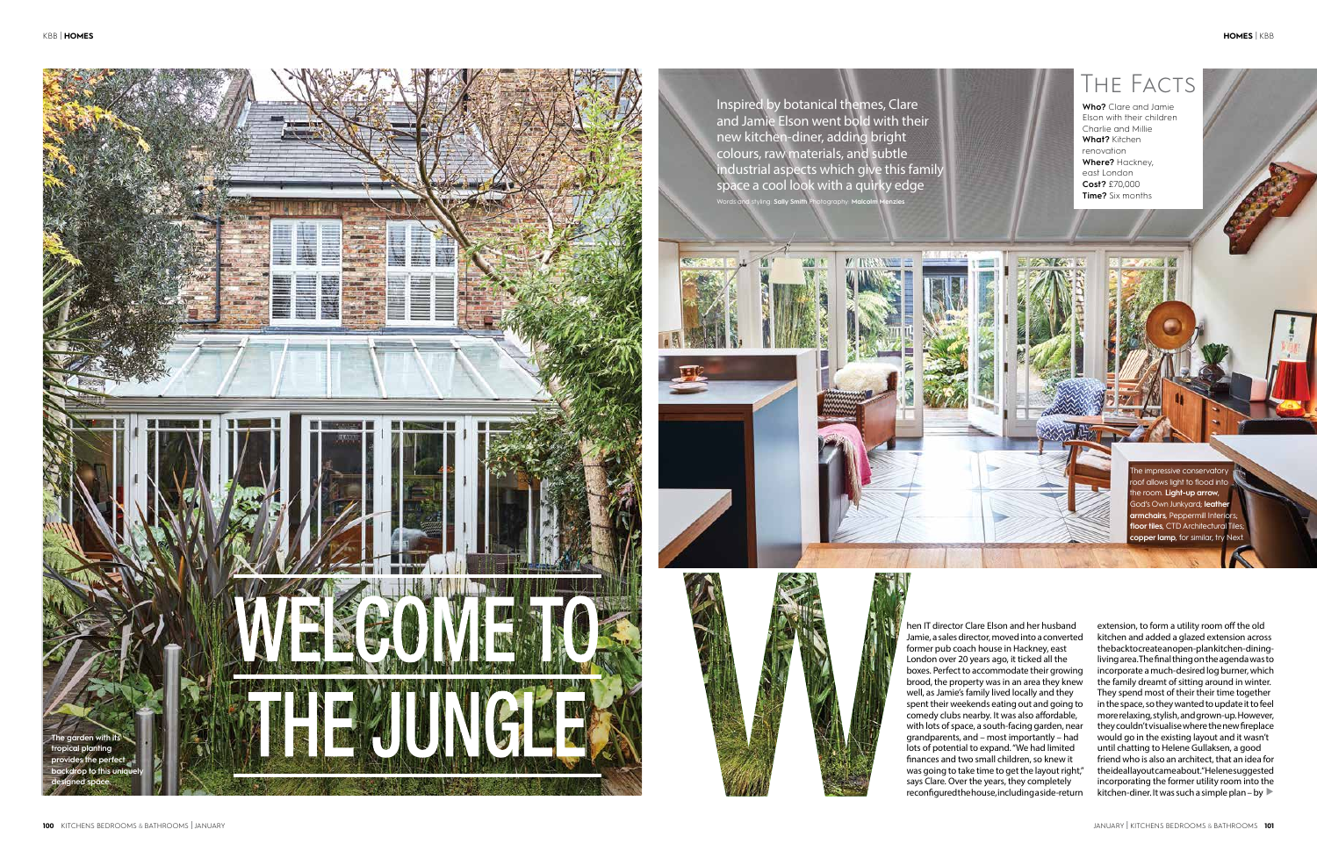hen IT director Clare Elson and her husband Jamie, a sales director, moved into a converted former pub coach house in Hackney, east London over 20 years ago, it ticked all the boxes. Perfect to accommodate their growing brood, the property was in an area they knew well, as Jamie's family lived locally and they spent their weekends eating out and going to comedy clubs nearby. It was also affordable, with lots of space, a south-facing garden, near grandparents, and – most importantly – had lots of potential to expand. "We had limited finances and two small children, so knew it was going to take time to get the layout right," says Clare. Over the years, they completely reconfigured the house, including a side-return

extension, to form a utility room off the old kitchen and added a glazed extension across the back to create an open-plan kitchen-diningliving area. The final thing on the agenda was to incorporate a much-desired log burner, which the family dreamt of sitting around in winter. They spend most of their their time together in the space, so they wanted to update it to feel more relaxing, stylish, and grown-up. However, they couldn't visualise where the new fireplace would go in the existing layout and it wasn't until chatting to Helene Gullaksen, a good friend who is also an architect, that an idea for the ideal layout came about. " Helene suggested incorporating the former utility room into the kitchen-diner. It was such a simple plan – by  $\blacktriangleright$ 

Words and styling: **Sally Smith** Photography: **Malcolm Menzies**





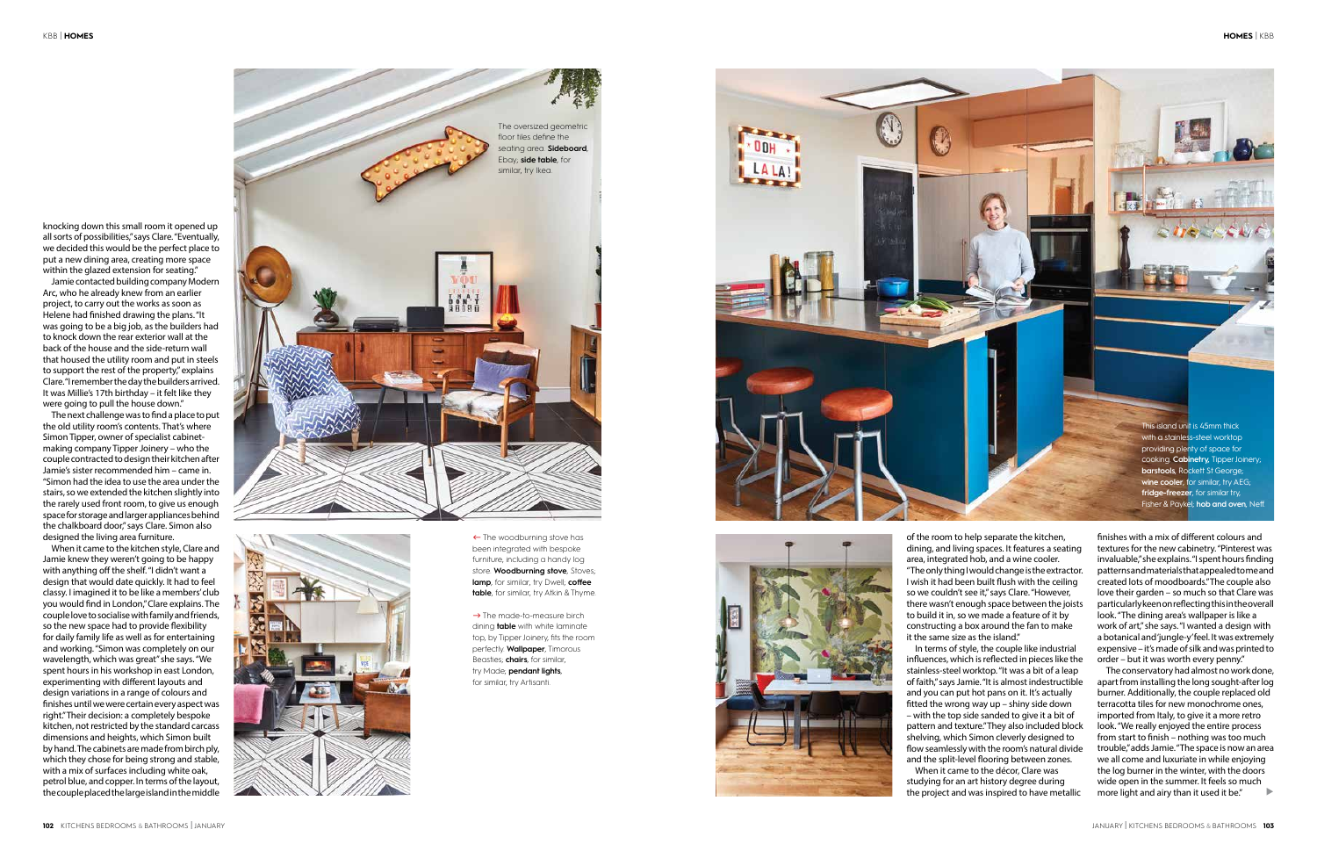The conservatory had almost no work done, apart from installing the long sought-after log burner. Additionally, the couple replaced old terracotta tiles for new monochrome ones, imported from Italy, to give it a more retro look. "We really enjoyed the entire process from start to finish – nothing was too much trouble," adds Jamie. "The space is now an area we all come and luxuriate in while enjoying the log burner in the winter, with the doors wide open in the summer. It feels so much more light and airy than it used it be."  $\blacktriangleright$ 

finishes with a mix of different colours and textures for the new cabinetry. "Pinterest was invaluable," she explains. "I spent hours finding patterns and materials that appealed to me and created lots of moodboards." The couple also love their garden – so much so that Clare was particularly keen on reflecting this in the overall look. "The dining area's wallpaper is like a work of art," she says. "I wanted a design with a botanical and 'jungle-y' feel. It was extremely expensive – it's made of silk and was printed to order – but it was worth every penny."

knocking down this small room it opened up all sorts of possibilities," says Clare. "Eventually, we decided this would be the perfect place to put a new dining area, creating more space within the glazed extension for seating."

Jamie contacted building company Modern Arc, who he already knew from an earlier project, to carry out the works as soon as Helene had finished drawing the plans. "It was going to be a big job, as the builders had to knock down the rear exterior wall at the back of the house and the side-return wall that housed the utility room and put in steels to support the rest of the property," explains Clare. "I remember the day the builders arrived. It was Millie's 17th birthday – it felt like they were going to pull the house down."

The next challenge was to find a place to put the old utility room's contents. That's where Simon Tipper, owner of specialist cabinetmaking company Tipper Joinery – who the couple contracted to design their kitchen after Jamie's sister recommended him – came in. "Simon had the idea to use the area under the stairs, so we extended the kitchen slightly into the rarely used front room, to give us enough space for storage and larger appliances behind the chalkboard door," says Clare. Simon also designed the living area furniture.

> $\rightarrow$  The made-to-measure birch dining **table** with white laminate top, by Tipper Joinery, fits the room perfectly. **Wallpaper**, Timorous Beasties; **chairs**, for similar, try Made; **pendant lights**, for similar, try Artisanti .





 $\leftarrow$  The woodburning stove has been integrated with bespoke furniture, including a handy log store. **Woodburning stove**, Stoves; **lamp**, for similar, try Dwell; **coffee table**, for similar, try Atkin & Thyme.

When it came to the kitchen style, Clare and Jamie knew they weren't going to be happy with anything off the shelf. "I didn't want a design that would date quickly. It had to feel classy. I imagined it to be like a members' club you would find in London," Clare explains. The couple love to socialise with family and friends, so the new space had to provide flexibility for daily family life as well as for entertaining and working. "Simon was completely on our wavelength, which was great" she says. "We spent hours in his workshop in east London, experimenting with different layouts and design variations in a range of colours and finishes until we were certain every aspect was right." Their decision: a completely bespoke kitchen, not restricted by the standard carcass dimensions and heights, which Simon built by hand. The cabinets are made from birch ply, which they chose for being strong and stable, with a mix of surfaces including white oak, petrol blue, and copper. In terms of the layout, the couple placed the large island in the middle

of the room to help separate the kitchen, dining, and living spaces. It features a seating area, integrated hob, and a wine cooler. "The only thing I would change is the extractor. I wish it had been built flush with the ceiling so we couldn't see it," says Clare. "However, there wasn't enough space between the joists to build it in, so we made a feature of it by constructing a box around the fan to make it the same size as the island."

In terms of style, the couple like industrial influences, which is reflected in pieces like the stainless-steel worktop. "It was a bit of a leap of faith," says Jamie. "It is almost indestructible and you can put hot pans on it. It's actually fitted the wrong way up – shiny side down – with the top side sanded to give it a bit of pattern and texture." They also included block shelving, which Simon cleverly designed to flow seamlessly with the room's natural divide and the split-level flooring between zones.

When it came to the décor, Clare was studying for an art history degree during the project and was inspired to have metallic

This island unit is 45mm thick with a stainless -steel worktop providing plenty of space for cooking. **Cabinetry,** Tipper Joinery; **barstools**, Rockett St George; **wine cooler, for similar, try AEG; fridge-freezer**, for similar try, Fisher & Paykel; **hob and oven**, Neff.